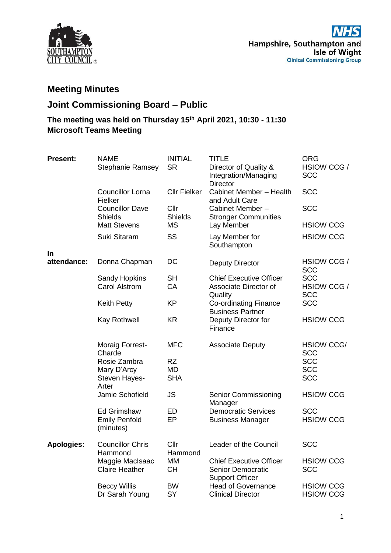

## **Meeting Minutes**

## **Joint Commissioning Board – Public**

## **The meeting was held on Thursday 15th April 2021, 10:30 - 11:30 Microsoft Teams Meeting**

| <b>Present:</b>   | <b>NAME</b><br><b>Stephanie Ramsey</b>                  | <b>INITIAL</b><br><b>SR</b>   | <b>TITLE</b><br>Director of Quality &<br>Integration/Managing<br><b>Director</b>     | <b>ORG</b><br>HSIOW CCG /<br><b>SCC</b> |
|-------------------|---------------------------------------------------------|-------------------------------|--------------------------------------------------------------------------------------|-----------------------------------------|
|                   | <b>Councillor Lorna</b><br>Fielker                      | <b>Cllr Fielker</b>           | Cabinet Member - Health<br>and Adult Care                                            | <b>SCC</b>                              |
|                   | <b>Councillor Dave</b><br><b>Shields</b>                | Cllr<br><b>Shields</b>        | Cabinet Member-<br><b>Stronger Communities</b>                                       | <b>SCC</b>                              |
|                   | <b>Matt Stevens</b>                                     | <b>MS</b>                     | Lay Member                                                                           | <b>HSIOW CCG</b>                        |
|                   | Suki Sitaram                                            | SS                            | Lay Member for<br>Southampton                                                        | <b>HSIOW CCG</b>                        |
| In<br>attendance: | Donna Chapman                                           | DC                            | <b>Deputy Director</b>                                                               | HSIOW CCG /<br><b>SCC</b>               |
|                   | <b>Sandy Hopkins</b><br><b>Carol Alstrom</b>            | <b>SH</b><br>CA               | <b>Chief Executive Officer</b><br>Associate Director of<br>Quality                   | <b>SCC</b><br>HSIOW CCG /<br><b>SCC</b> |
|                   | <b>Keith Petty</b>                                      | <b>KP</b>                     | <b>Co-ordinating Finance</b><br><b>Business Partner</b>                              | <b>SCC</b>                              |
|                   | Kay Rothwell                                            | <b>KR</b>                     | Deputy Director for<br>Finance                                                       | <b>HSIOW CCG</b>                        |
|                   | Moraig Forrest-<br>Charde                               | <b>MFC</b>                    | <b>Associate Deputy</b>                                                              | <b>HSIOW CCG/</b><br><b>SCC</b>         |
|                   | Rosie Zambra<br>Mary D'Arcy<br>Steven Hayes-<br>Arter   | RZ<br><b>MD</b><br><b>SHA</b> |                                                                                      | <b>SCC</b><br><b>SCC</b><br><b>SCC</b>  |
|                   | Jamie Schofield                                         | <b>JS</b>                     | <b>Senior Commissioning</b><br>Manager                                               | <b>HSIOW CCG</b>                        |
|                   | <b>Ed Grimshaw</b><br><b>Emily Penfold</b><br>(minutes) | ED<br>EP                      | <b>Democratic Services</b><br><b>Business Manager</b>                                | <b>SCC</b><br><b>HSIOW CCG</b>          |
| <b>Apologies:</b> | <b>Councillor Chris</b><br>Hammond                      | Cllr<br>Hammond               | Leader of the Council                                                                | <b>SCC</b>                              |
|                   | Maggie MacIsaac<br><b>Claire Heather</b>                | MM<br><b>CH</b>               | <b>Chief Executive Officer</b><br><b>Senior Democratic</b><br><b>Support Officer</b> | <b>HSIOW CCG</b><br><b>SCC</b>          |
|                   | <b>Beccy Willis</b><br>Dr Sarah Young                   | <b>BW</b><br>SY               | <b>Head of Governance</b><br><b>Clinical Director</b>                                | <b>HSIOW CCG</b><br><b>HSIOW CCG</b>    |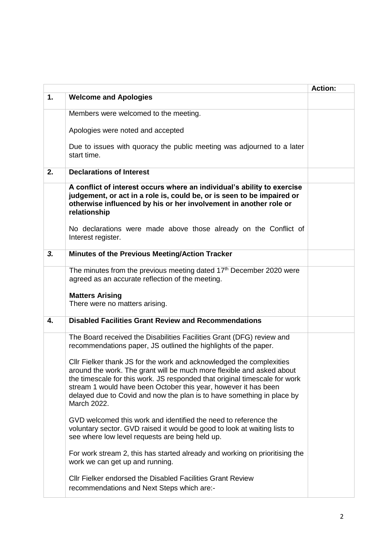|    |                                                                                                                                                                                                                                                                                                                                                                                         | <b>Action:</b> |
|----|-----------------------------------------------------------------------------------------------------------------------------------------------------------------------------------------------------------------------------------------------------------------------------------------------------------------------------------------------------------------------------------------|----------------|
| 1. | <b>Welcome and Apologies</b>                                                                                                                                                                                                                                                                                                                                                            |                |
|    | Members were welcomed to the meeting.                                                                                                                                                                                                                                                                                                                                                   |                |
|    | Apologies were noted and accepted                                                                                                                                                                                                                                                                                                                                                       |                |
|    | Due to issues with quoracy the public meeting was adjourned to a later<br>start time.                                                                                                                                                                                                                                                                                                   |                |
| 2. | <b>Declarations of Interest</b>                                                                                                                                                                                                                                                                                                                                                         |                |
|    | A conflict of interest occurs where an individual's ability to exercise<br>judgement, or act in a role is, could be, or is seen to be impaired or<br>otherwise influenced by his or her involvement in another role or<br>relationship                                                                                                                                                  |                |
|    | No declarations were made above those already on the Conflict of<br>Interest register.                                                                                                                                                                                                                                                                                                  |                |
| 3. | Minutes of the Previous Meeting/Action Tracker                                                                                                                                                                                                                                                                                                                                          |                |
|    | The minutes from the previous meeting dated 17 <sup>th</sup> December 2020 were<br>agreed as an accurate reflection of the meeting.                                                                                                                                                                                                                                                     |                |
|    | <b>Matters Arising</b><br>There were no matters arising.                                                                                                                                                                                                                                                                                                                                |                |
| 4. | <b>Disabled Facilities Grant Review and Recommendations</b>                                                                                                                                                                                                                                                                                                                             |                |
|    | The Board received the Disabilities Facilities Grant (DFG) review and<br>recommendations paper, JS outlined the highlights of the paper.                                                                                                                                                                                                                                                |                |
|    | Cllr Fielker thank JS for the work and acknowledged the complexities<br>around the work. The grant will be much more flexible and asked about<br>the timescale for this work. JS responded that original timescale for work<br>stream 1 would have been October this year, however it has been<br>delayed due to Covid and now the plan is to have something in place by<br>March 2022. |                |
|    | GVD welcomed this work and identified the need to reference the<br>voluntary sector. GVD raised it would be good to look at waiting lists to<br>see where low level requests are being held up.                                                                                                                                                                                         |                |
|    | For work stream 2, this has started already and working on prioritising the<br>work we can get up and running.                                                                                                                                                                                                                                                                          |                |
|    | Cllr Fielker endorsed the Disabled Facilities Grant Review<br>recommendations and Next Steps which are:-                                                                                                                                                                                                                                                                                |                |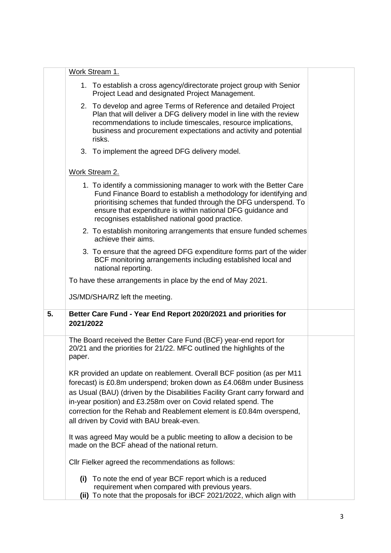|    | Work Stream 1.                                                                                                                                                                                                                                                                                                                                                                                                     |                                                                                                                                                                                                                                                                                                                              |  |  |
|----|--------------------------------------------------------------------------------------------------------------------------------------------------------------------------------------------------------------------------------------------------------------------------------------------------------------------------------------------------------------------------------------------------------------------|------------------------------------------------------------------------------------------------------------------------------------------------------------------------------------------------------------------------------------------------------------------------------------------------------------------------------|--|--|
|    |                                                                                                                                                                                                                                                                                                                                                                                                                    | 1. To establish a cross agency/directorate project group with Senior<br>Project Lead and designated Project Management.                                                                                                                                                                                                      |  |  |
|    | 2. To develop and agree Terms of Reference and detailed Project<br>Plan that will deliver a DFG delivery model in line with the review<br>recommendations to include timescales, resource implications,<br>business and procurement expectations and activity and potential<br>risks.                                                                                                                              |                                                                                                                                                                                                                                                                                                                              |  |  |
|    | 3. To implement the agreed DFG delivery model.                                                                                                                                                                                                                                                                                                                                                                     |                                                                                                                                                                                                                                                                                                                              |  |  |
|    | Work Stream 2.                                                                                                                                                                                                                                                                                                                                                                                                     |                                                                                                                                                                                                                                                                                                                              |  |  |
|    |                                                                                                                                                                                                                                                                                                                                                                                                                    | 1. To identify a commissioning manager to work with the Better Care<br>Fund Finance Board to establish a methodology for identifying and<br>prioritising schemes that funded through the DFG underspend. To<br>ensure that expenditure is within national DFG guidance and<br>recognises established national good practice. |  |  |
|    |                                                                                                                                                                                                                                                                                                                                                                                                                    | 2. To establish monitoring arrangements that ensure funded schemes<br>achieve their aims.                                                                                                                                                                                                                                    |  |  |
|    |                                                                                                                                                                                                                                                                                                                                                                                                                    | 3. To ensure that the agreed DFG expenditure forms part of the wider<br>BCF monitoring arrangements including established local and<br>national reporting.                                                                                                                                                                   |  |  |
|    | To have these arrangements in place by the end of May 2021.                                                                                                                                                                                                                                                                                                                                                        |                                                                                                                                                                                                                                                                                                                              |  |  |
|    |                                                                                                                                                                                                                                                                                                                                                                                                                    | JS/MD/SHA/RZ left the meeting.                                                                                                                                                                                                                                                                                               |  |  |
| 5. | Better Care Fund - Year End Report 2020/2021 and priorities for<br>2021/2022                                                                                                                                                                                                                                                                                                                                       |                                                                                                                                                                                                                                                                                                                              |  |  |
|    | paper.                                                                                                                                                                                                                                                                                                                                                                                                             | The Board received the Better Care Fund (BCF) year-end report for<br>20/21 and the priorities for 21/22. MFC outlined the highlights of the                                                                                                                                                                                  |  |  |
|    | KR provided an update on reablement. Overall BCF position (as per M11<br>forecast) is £0.8m underspend; broken down as £4.068m under Business<br>as Usual (BAU) (driven by the Disabilities Facility Grant carry forward and<br>in-year position) and £3.258m over on Covid related spend. The<br>correction for the Rehab and Reablement element is £0.84m overspend,<br>all driven by Covid with BAU break-even. |                                                                                                                                                                                                                                                                                                                              |  |  |
|    | It was agreed May would be a public meeting to allow a decision to be<br>made on the BCF ahead of the national return.                                                                                                                                                                                                                                                                                             |                                                                                                                                                                                                                                                                                                                              |  |  |
|    | Cllr Fielker agreed the recommendations as follows:                                                                                                                                                                                                                                                                                                                                                                |                                                                                                                                                                                                                                                                                                                              |  |  |
|    |                                                                                                                                                                                                                                                                                                                                                                                                                    | (i) To note the end of year BCF report which is a reduced<br>requirement when compared with previous years.<br>(ii) To note that the proposals for iBCF 2021/2022, which align with                                                                                                                                          |  |  |